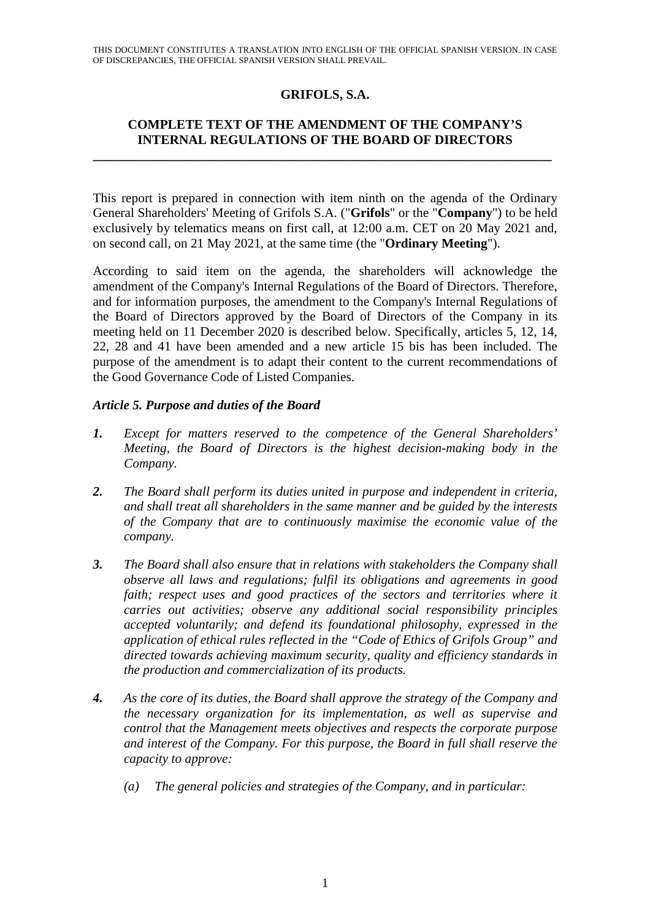# **GRIFOLS, S.A.**

# **COMPLETE TEXT OF THE AMENDMENT OF THE COMPANY'S INTERNAL REGULATIONS OF THE BOARD OF DIRECTORS**

**\_\_\_\_\_\_\_\_\_\_\_\_\_\_\_\_\_\_\_\_\_\_\_\_\_\_\_\_\_\_\_\_\_\_\_\_\_\_\_\_\_\_\_\_\_\_\_\_\_\_\_\_\_\_\_\_\_\_\_\_\_\_\_\_\_\_\_\_\_\_** 

This report is prepared in connection with item ninth on the agenda of the Ordinary General Shareholders' Meeting of Grifols S.A. ("**Grifols**" or the "**Company**") to be held exclusively by telematics means on first call, at 12:00 a.m. CET on 20 May 2021 and, on second call, on 21 May 2021, at the same time (the "**Ordinary Meeting**").

According to said item on the agenda, the shareholders will acknowledge the amendment of the Company's Internal Regulations of the Board of Directors. Therefore, and for information purposes, the amendment to the Company's Internal Regulations of the Board of Directors approved by the Board of Directors of the Company in its meeting held on 11 December 2020 is described below. Specifically, articles 5, 12, 14, 22, 28 and 41 have been amended and a new article 15 bis has been included. The purpose of the amendment is to adapt their content to the current recommendations of the Good Governance Code of Listed Companies.

#### *Article 5. Purpose and duties of the Board*

- *1. Except for matters reserved to the competence of the General Shareholders' Meeting, the Board of Directors is the highest decision-making body in the Company.*
- *2. The Board shall perform its duties united in purpose and independent in criteria, and shall treat all shareholders in the same manner and be guided by the interests of the Company that are to continuously maximise the economic value of the company.*
- *3. The Board shall also ensure that in relations with stakeholders the Company shall observe all laws and regulations; fulfil its obligations and agreements in good*  faith; respect uses and good practices of the sectors and territories where it *carries out activities; observe any additional social responsibility principles accepted voluntarily; and defend its foundational philosophy, expressed in the application of ethical rules reflected in the "Code of Ethics of Grifols Group" and directed towards achieving maximum security, quality and efficiency standards in the production and commercialization of its products.*
- *4. As the core of its duties, the Board shall approve the strategy of the Company and the necessary organization for its implementation, as well as supervise and control that the Management meets objectives and respects the corporate purpose and interest of the Company. For this purpose, the Board in full shall reserve the capacity to approve:* 
	- *(a) The general policies and strategies of the Company, and in particular:*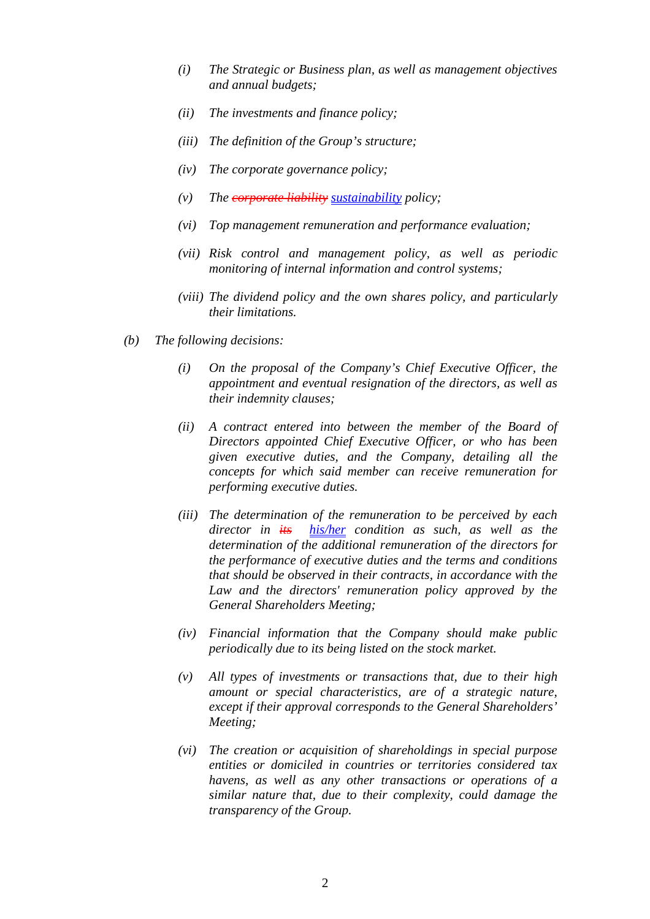- *(i) The Strategic or Business plan, as well as management objectives and annual budgets;*
- *(ii) The investments and finance policy;*
- *(iii) The definition of the Group's structure;*
- *(iv) The corporate governance policy;*
- *(v) The corporate liability sustainability policy;*
- *(vi) Top management remuneration and performance evaluation;*
- *(vii) Risk control and management policy, as well as periodic monitoring of internal information and control systems;*
- *(viii) The dividend policy and the own shares policy, and particularly their limitations.*
- *(b) The following decisions:* 
	- *(i) On the proposal of the Company's Chief Executive Officer, the appointment and eventual resignation of the directors, as well as their indemnity clauses;*
	- *(ii) A contract entered into between the member of the Board of Directors appointed Chief Executive Officer, or who has been given executive duties, and the Company, detailing all the concepts for which said member can receive remuneration for performing executive duties.*
	- *(iii) The determination of the remuneration to be perceived by each director in its his/her condition as such, as well as the determination of the additional remuneration of the directors for the performance of executive duties and the terms and conditions that should be observed in their contracts, in accordance with the Law and the directors' remuneration policy approved by the General Shareholders Meeting;*
	- *(iv) Financial information that the Company should make public periodically due to its being listed on the stock market.*
	- *(v) All types of investments or transactions that, due to their high amount or special characteristics, are of a strategic nature, except if their approval corresponds to the General Shareholders' Meeting;*
	- *(vi) The creation or acquisition of shareholdings in special purpose entities or domiciled in countries or territories considered tax havens, as well as any other transactions or operations of a similar nature that, due to their complexity, could damage the transparency of the Group.*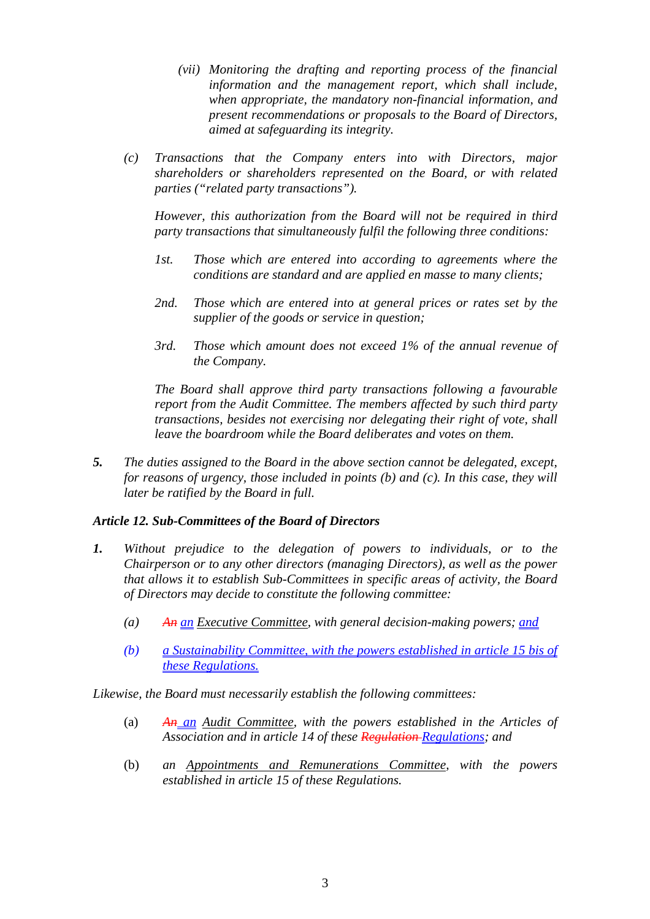- *(vii) Monitoring the drafting and reporting process of the financial information and the management report, which shall include, when appropriate, the mandatory non-financial information, and present recommendations or proposals to the Board of Directors, aimed at safeguarding its integrity.*
- *(c) Transactions that the Company enters into with Directors, major shareholders or shareholders represented on the Board, or with related parties ("related party transactions").*

*However, this authorization from the Board will not be required in third party transactions that simultaneously fulfil the following three conditions:* 

- *1st. Those which are entered into according to agreements where the conditions are standard and are applied en masse to many clients;*
- *2nd. Those which are entered into at general prices or rates set by the supplier of the goods or service in question;*
- *3rd. Those which amount does not exceed 1% of the annual revenue of the Company.*

*The Board shall approve third party transactions following a favourable report from the Audit Committee. The members affected by such third party transactions, besides not exercising nor delegating their right of vote, shall leave the boardroom while the Board deliberates and votes on them.* 

*5. The duties assigned to the Board in the above section cannot be delegated, except, for reasons of urgency, those included in points (b) and (c). In this case, they will later be ratified by the Board in full.* 

# *Article 12. Sub-Committees of the Board of Directors*

- *1. Without prejudice to the delegation of powers to individuals, or to the Chairperson or to any other directors (managing Directors), as well as the power that allows it to establish Sub-Committees in specific areas of activity, the Board of Directors may decide to constitute the following committee:* 
	- *(a) An an Executive Committee, with general decision-making powers; and*
	- *(b) a Sustainability Committee, with the powers established in article 15 bis of these Regulations.*

*Likewise, the Board must necessarily establish the following committees:* 

- (a) *An an Audit Committee, with the powers established in the Articles of Association and in article 14 of these Regulation Regulations; and*
- (b) *an Appointments and Remunerations Committee, with the powers established in article 15 of these Regulations.*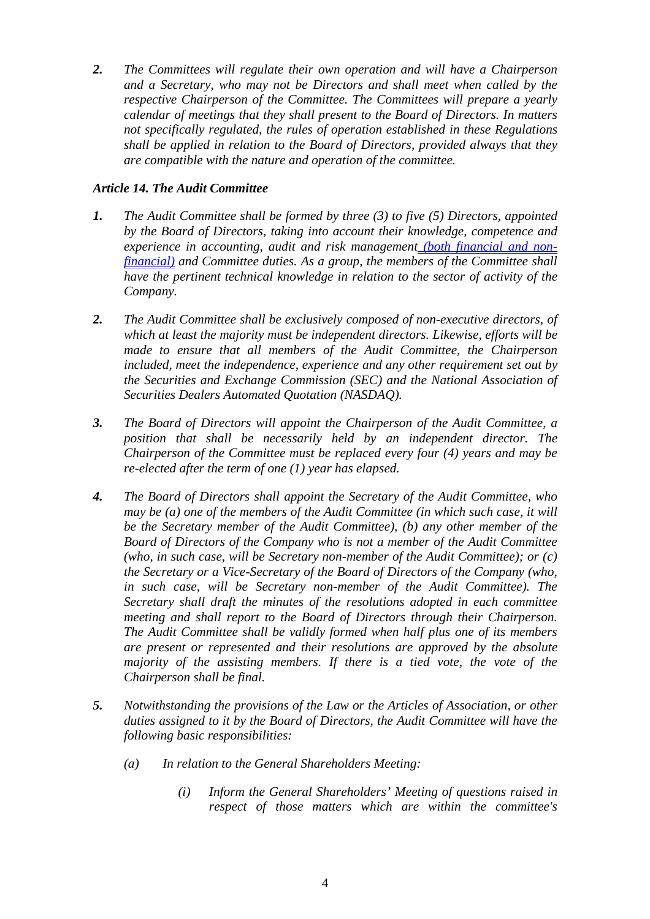*2. The Committees will regulate their own operation and will have a Chairperson and a Secretary, who may not be Directors and shall meet when called by the respective Chairperson of the Committee. The Committees will prepare a yearly calendar of meetings that they shall present to the Board of Directors. In matters not specifically regulated, the rules of operation established in these Regulations shall be applied in relation to the Board of Directors, provided always that they are compatible with the nature and operation of the committee.* 

### *Article 14. The Audit Committee*

- *1. The Audit Committee shall be formed by three (3) to five (5) Directors, appointed by the Board of Directors, taking into account their knowledge, competence and experience in accounting, audit and risk management (both financial and nonfinancial) and Committee duties. As a group, the members of the Committee shall have the pertinent technical knowledge in relation to the sector of activity of the Company.*
- *2. The Audit Committee shall be exclusively composed of non-executive directors, of which at least the majority must be independent directors. Likewise, efforts will be made to ensure that all members of the Audit Committee, the Chairperson included, meet the independence, experience and any other requirement set out by the Securities and Exchange Commission (SEC) and the National Association of Securities Dealers Automated Quotation (NASDAQ).*
- *3. The Board of Directors will appoint the Chairperson of the Audit Committee, a position that shall be necessarily held by an independent director. The Chairperson of the Committee must be replaced every four (4) years and may be re-elected after the term of one (1) year has elapsed.*
- *4. The Board of Directors shall appoint the Secretary of the Audit Committee, who may be (a) one of the members of the Audit Committee (in which such case, it will be the Secretary member of the Audit Committee), (b) any other member of the Board of Directors of the Company who is not a member of the Audit Committee (who, in such case, will be Secretary non-member of the Audit Committee); or (c) the Secretary or a Vice-Secretary of the Board of Directors of the Company (who, in such case, will be Secretary non-member of the Audit Committee). The Secretary shall draft the minutes of the resolutions adopted in each committee meeting and shall report to the Board of Directors through their Chairperson. The Audit Committee shall be validly formed when half plus one of its members are present or represented and their resolutions are approved by the absolute majority of the assisting members. If there is a tied vote, the vote of the Chairperson shall be final.*
- *5. Notwithstanding the provisions of the Law or the Articles of Association, or other duties assigned to it by the Board of Directors, the Audit Committee will have the following basic responsibilities:* 
	- *(a) In relation to the General Shareholders Meeting:* 
		- *(i) Inform the General Shareholders' Meeting of questions raised in respect of those matters which are within the committee's*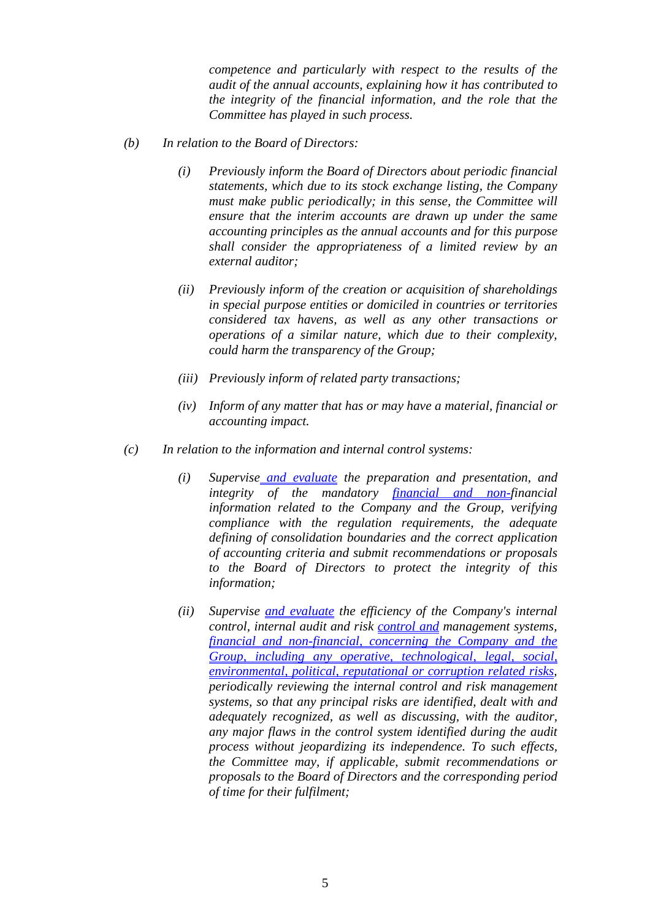*competence and particularly with respect to the results of the audit of the annual accounts, explaining how it has contributed to the integrity of the financial information, and the role that the Committee has played in such process.* 

- *(b) In relation to the Board of Directors:* 
	- *(i) Previously inform the Board of Directors about periodic financial statements, which due to its stock exchange listing, the Company must make public periodically; in this sense, the Committee will ensure that the interim accounts are drawn up under the same accounting principles as the annual accounts and for this purpose shall consider the appropriateness of a limited review by an external auditor;*
	- *(ii) Previously inform of the creation or acquisition of shareholdings in special purpose entities or domiciled in countries or territories considered tax havens, as well as any other transactions or operations of a similar nature, which due to their complexity, could harm the transparency of the Group;*
	- *(iii) Previously inform of related party transactions;*
	- *(iv) Inform of any matter that has or may have a material, financial or accounting impact.*
- *(c) In relation to the information and internal control systems:* 
	- *(i) Supervise and evaluate the preparation and presentation, and integrity of the mandatory financial and non-financial information related to the Company and the Group, verifying compliance with the regulation requirements, the adequate defining of consolidation boundaries and the correct application of accounting criteria and submit recommendations or proposals to the Board of Directors to protect the integrity of this information;*
	- *(ii) Supervise and evaluate the efficiency of the Company's internal control, internal audit and risk control and management systems, financial and non-financial, concerning the Company and the Group, including any operative, technological, legal, social, environmental, political, reputational or corruption related risks, periodically reviewing the internal control and risk management systems, so that any principal risks are identified, dealt with and adequately recognized, as well as discussing, with the auditor, any major flaws in the control system identified during the audit process without jeopardizing its independence. To such effects, the Committee may, if applicable, submit recommendations or proposals to the Board of Directors and the corresponding period of time for their fulfilment;*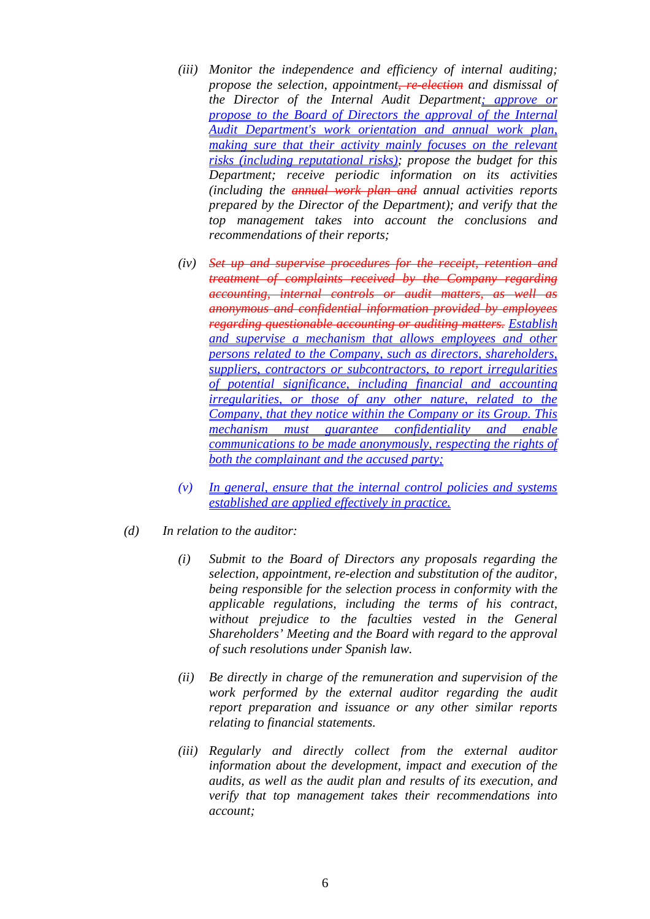- *(iii) Monitor the independence and efficiency of internal auditing; propose the selection, appointment, re-election and dismissal of the Director of the Internal Audit Department; approve or propose to the Board of Directors the approval of the Internal Audit Department's work orientation and annual work plan, making sure that their activity mainly focuses on the relevant risks (including reputational risks); propose the budget for this Department; receive periodic information on its activities (including the annual work plan and annual activities reports prepared by the Director of the Department); and verify that the top management takes into account the conclusions and recommendations of their reports;*
- *(iv) Set up and supervise procedures for the receipt, retention and treatment of complaints received by the Company regarding accounting, internal controls or audit matters, as well as anonymous and confidential information provided by employees regarding questionable accounting or auditing matters. Establish and supervise a mechanism that allows employees and other persons related to the Company, such as directors, shareholders, suppliers, contractors or subcontractors, to report irregularities of potential significance, including financial and accounting irregularities, or those of any other nature, related to the Company, that they notice within the Company or its Group. This mechanism must guarantee confidentiality and enable communications to be made anonymously, respecting the rights of both the complainant and the accused party;*
- *(v) In general, ensure that the internal control policies and systems established are applied effectively in practice.*
- *(d) In relation to the auditor:* 
	- *(i) Submit to the Board of Directors any proposals regarding the selection, appointment, re-election and substitution of the auditor, being responsible for the selection process in conformity with the applicable regulations, including the terms of his contract, without prejudice to the faculties vested in the General Shareholders' Meeting and the Board with regard to the approval of such resolutions under Spanish law.*
	- *(ii) Be directly in charge of the remuneration and supervision of the work performed by the external auditor regarding the audit report preparation and issuance or any other similar reports relating to financial statements.*
	- *(iii) Regularly and directly collect from the external auditor information about the development, impact and execution of the audits, as well as the audit plan and results of its execution, and verify that top management takes their recommendations into account;*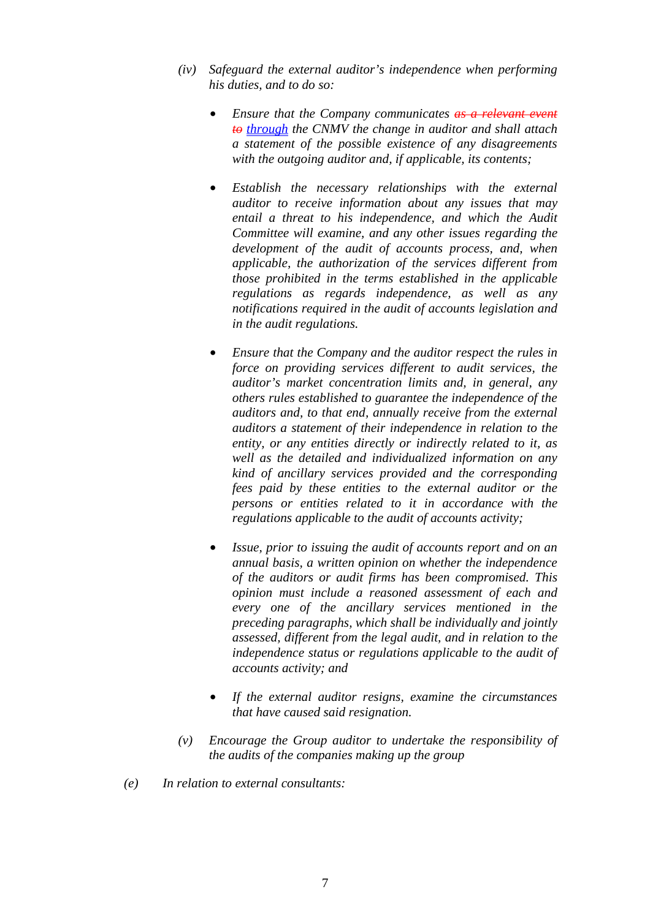- *(iv) Safeguard the external auditor's independence when performing his duties, and to do so:* 
	- *Ensure that the Company communicates as a relevant event to through the CNMV the change in auditor and shall attach a statement of the possible existence of any disagreements with the outgoing auditor and, if applicable, its contents;*
	- *Establish the necessary relationships with the external auditor to receive information about any issues that may entail a threat to his independence, and which the Audit Committee will examine, and any other issues regarding the development of the audit of accounts process, and, when applicable, the authorization of the services different from those prohibited in the terms established in the applicable regulations as regards independence, as well as any notifications required in the audit of accounts legislation and in the audit regulations.*
	- *Ensure that the Company and the auditor respect the rules in force on providing services different to audit services, the auditor's market concentration limits and, in general, any others rules established to guarantee the independence of the auditors and, to that end, annually receive from the external auditors a statement of their independence in relation to the entity, or any entities directly or indirectly related to it, as well as the detailed and individualized information on any kind of ancillary services provided and the corresponding fees paid by these entities to the external auditor or the persons or entities related to it in accordance with the regulations applicable to the audit of accounts activity;*
	- *Issue, prior to issuing the audit of accounts report and on an annual basis, a written opinion on whether the independence of the auditors or audit firms has been compromised. This opinion must include a reasoned assessment of each and every one of the ancillary services mentioned in the preceding paragraphs, which shall be individually and jointly assessed, different from the legal audit, and in relation to the independence status or regulations applicable to the audit of accounts activity; and*
	- *If the external auditor resigns, examine the circumstances that have caused said resignation.*
- *(v) Encourage the Group auditor to undertake the responsibility of the audits of the companies making up the group*
- *(e) In relation to external consultants:*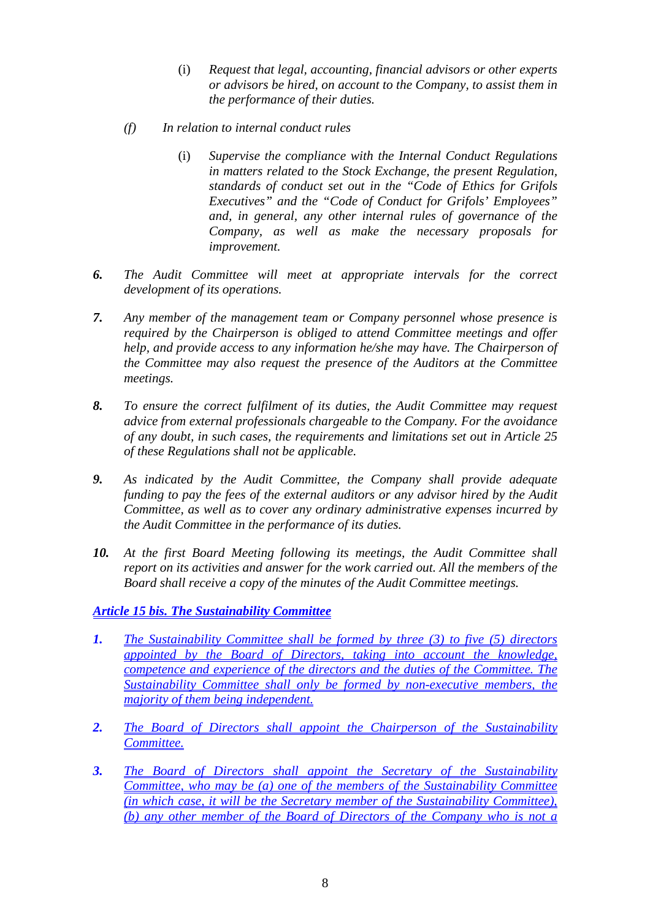- (i) *Request that legal, accounting, financial advisors or other experts or advisors be hired, on account to the Company, to assist them in the performance of their duties.*
- *(f) In relation to internal conduct rules* 
	- (i) *Supervise the compliance with the Internal Conduct Regulations in matters related to the Stock Exchange, the present Regulation, standards of conduct set out in the "Code of Ethics for Grifols Executives" and the "Code of Conduct for Grifols' Employees" and, in general, any other internal rules of governance of the Company, as well as make the necessary proposals for improvement.*
- *6. The Audit Committee will meet at appropriate intervals for the correct development of its operations.*
- *7. Any member of the management team or Company personnel whose presence is required by the Chairperson is obliged to attend Committee meetings and offer help, and provide access to any information he/she may have. The Chairperson of the Committee may also request the presence of the Auditors at the Committee meetings.*
- *8. To ensure the correct fulfilment of its duties, the Audit Committee may request advice from external professionals chargeable to the Company. For the avoidance of any doubt, in such cases, the requirements and limitations set out in Article 25 of these Regulations shall not be applicable.*
- *9. As indicated by the Audit Committee, the Company shall provide adequate funding to pay the fees of the external auditors or any advisor hired by the Audit Committee, as well as to cover any ordinary administrative expenses incurred by the Audit Committee in the performance of its duties.*
- *10. At the first Board Meeting following its meetings, the Audit Committee shall report on its activities and answer for the work carried out. All the members of the Board shall receive a copy of the minutes of the Audit Committee meetings.*

#### *Article 15 bis. The Sustainability Committee*

- *1. The Sustainability Committee shall be formed by three (3) to five (5) directors appointed by the Board of Directors, taking into account the knowledge, competence and experience of the directors and the duties of the Committee. The Sustainability Committee shall only be formed by non-executive members, the majority of them being independent.*
- *2. The Board of Directors shall appoint the Chairperson of the Sustainability Committee.*
- *3. The Board of Directors shall appoint the Secretary of the Sustainability Committee, who may be (a) one of the members of the Sustainability Committee (in which case, it will be the Secretary member of the Sustainability Committee), (b) any other member of the Board of Directors of the Company who is not a*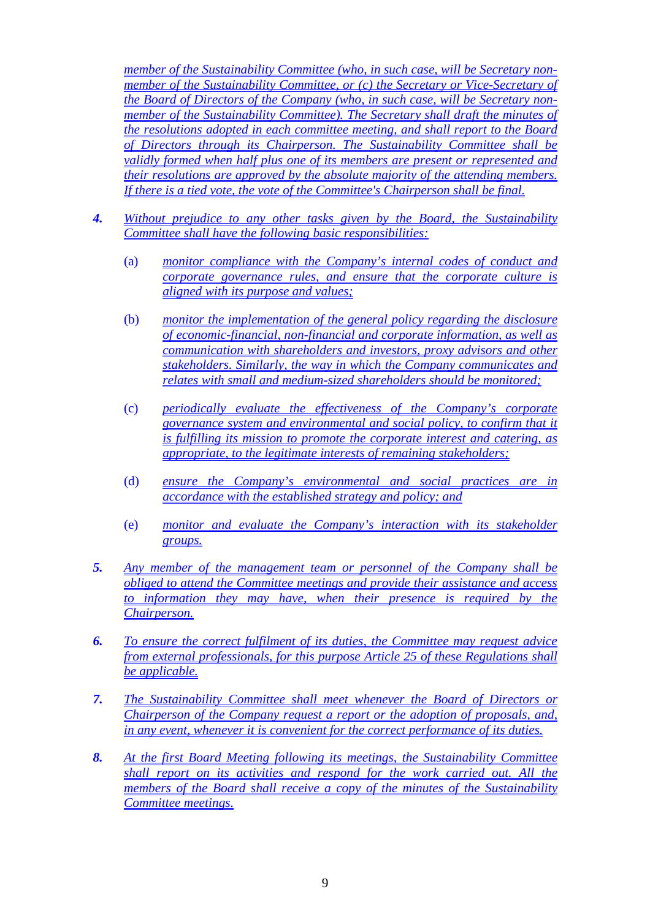*member of the Sustainability Committee (who, in such case, will be Secretary nonmember of the Sustainability Committee, or (c) the Secretary or Vice-Secretary of the Board of Directors of the Company (who, in such case, will be Secretary nonmember of the Sustainability Committee). The Secretary shall draft the minutes of the resolutions adopted in each committee meeting, and shall report to the Board of Directors through its Chairperson. The Sustainability Committee shall be validly formed when half plus one of its members are present or represented and their resolutions are approved by the absolute majority of the attending members. If there is a tied vote, the vote of the Committee's Chairperson shall be final.* 

- *4. Without prejudice to any other tasks given by the Board, the Sustainability Committee shall have the following basic responsibilities:* 
	- (a) *monitor compliance with the Company's internal codes of conduct and corporate governance rules, and ensure that the corporate culture is aligned with its purpose and values;*
	- (b) *monitor the implementation of the general policy regarding the disclosure of economic-financial, non-financial and corporate information, as well as communication with shareholders and investors, proxy advisors and other stakeholders. Similarly, the way in which the Company communicates and relates with small and medium-sized shareholders should be monitored;*
	- (c) *periodically evaluate the effectiveness of the Company's corporate governance system and environmental and social policy, to confirm that it is fulfilling its mission to promote the corporate interest and catering, as appropriate, to the legitimate interests of remaining stakeholders;*
	- (d) *ensure the Company's environmental and social practices are in accordance with the established strategy and policy; and*
	- (e) *monitor and evaluate the Company's interaction with its stakeholder groups.*
- *5. Any member of the management team or personnel of the Company shall be obliged to attend the Committee meetings and provide their assistance and access to information they may have, when their presence is required by the Chairperson.*
- *6. To ensure the correct fulfilment of its duties, the Committee may request advice from external professionals, for this purpose Article 25 of these Regulations shall be applicable.*
- *7. The Sustainability Committee shall meet whenever the Board of Directors or Chairperson of the Company request a report or the adoption of proposals, and, in any event, whenever it is convenient for the correct performance of its duties.*
- *8. At the first Board Meeting following its meetings, the Sustainability Committee shall report on its activities and respond for the work carried out. All the members of the Board shall receive a copy of the minutes of the Sustainability Committee meetings.*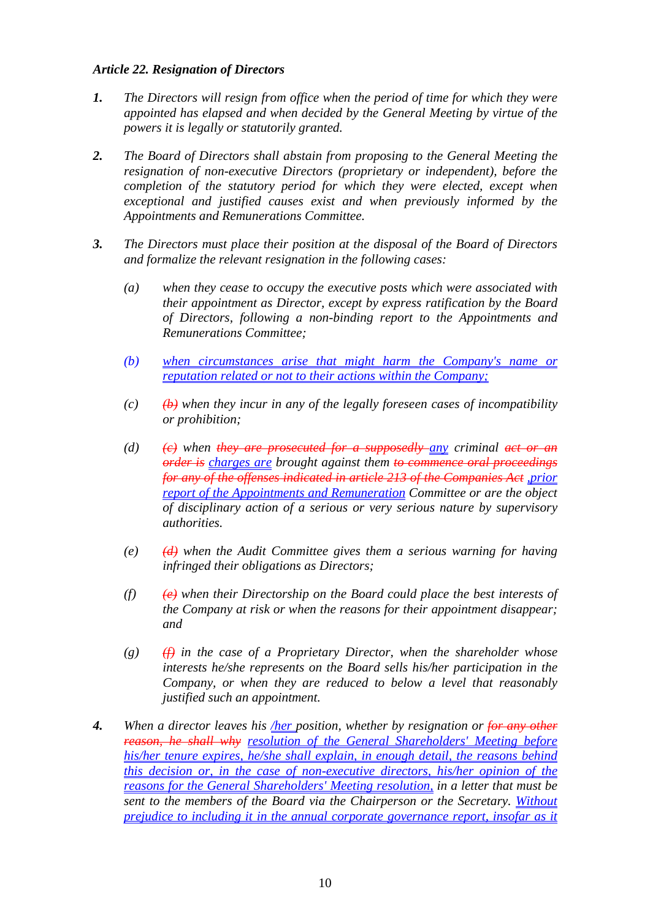#### *Article 22. Resignation of Directors*

- *1. The Directors will resign from office when the period of time for which they were appointed has elapsed and when decided by the General Meeting by virtue of the powers it is legally or statutorily granted.*
- *2. The Board of Directors shall abstain from proposing to the General Meeting the resignation of non-executive Directors (proprietary or independent), before the completion of the statutory period for which they were elected, except when exceptional and justified causes exist and when previously informed by the Appointments and Remunerations Committee.*
- *3. The Directors must place their position at the disposal of the Board of Directors and formalize the relevant resignation in the following cases:* 
	- *(a) when they cease to occupy the executive posts which were associated with their appointment as Director, except by express ratification by the Board of Directors, following a non-binding report to the Appointments and Remunerations Committee;*
	- *(b) when circumstances arise that might harm the Company's name or reputation related or not to their actions within the Company;*
	- $(c)$   $(\theta)$  when they incur in any of the legally foreseen cases of incompatibility *or prohibition;*
	- *(d)*  $\left\langle \epsilon \right\rangle$  when they are prosecuted for a supposedly any criminal act or an *order is charges are brought against them to commence oral proceedings for any of the offenses indicated in article 213 of the Companies Act ,prior report of the Appointments and Remuneration Committee or are the object of disciplinary action of a serious or very serious nature by supervisory authorities.*
	- *(e) (d) when the Audit Committee gives them a serious warning for having infringed their obligations as Directors;*
	- *(f) (e) when their Directorship on the Board could place the best interests of the Company at risk or when the reasons for their appointment disappear; and*
	- *(g) (f) in the case of a Proprietary Director, when the shareholder whose interests he/she represents on the Board sells his/her participation in the Company, or when they are reduced to below a level that reasonably justified such an appointment.*
- *4. When a director leaves his /her position, whether by resignation or for any other reason, he shall why resolution of the General Shareholders' Meeting before his/her tenure expires, he/she shall explain, in enough detail, the reasons behind this decision or, in the case of non-executive directors, his/her opinion of the reasons for the General Shareholders' Meeting resolution, in a letter that must be sent to the members of the Board via the Chairperson or the Secretary. Without prejudice to including it in the annual corporate governance report, insofar as it*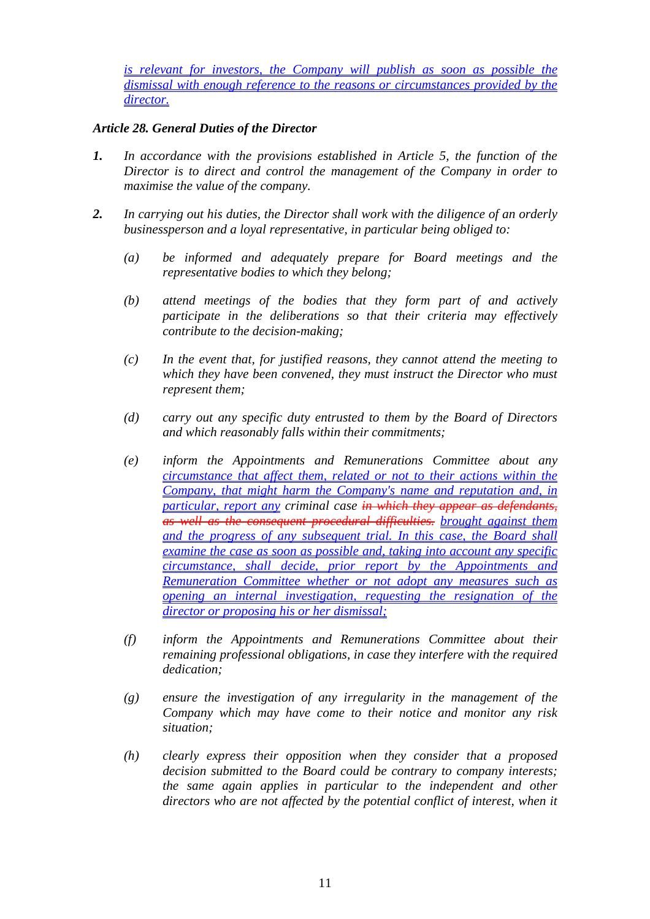*is relevant for investors, the Company will publish as soon as possible the dismissal with enough reference to the reasons or circumstances provided by the director.*

### *Article 28. General Duties of the Director*

- *1. In accordance with the provisions established in Article 5, the function of the Director is to direct and control the management of the Company in order to maximise the value of the company.*
- *2. In carrying out his duties, the Director shall work with the diligence of an orderly businessperson and a loyal representative, in particular being obliged to:* 
	- *(a) be informed and adequately prepare for Board meetings and the representative bodies to which they belong;*
	- *(b) attend meetings of the bodies that they form part of and actively participate in the deliberations so that their criteria may effectively contribute to the decision-making;*
	- *(c) In the event that, for justified reasons, they cannot attend the meeting to which they have been convened, they must instruct the Director who must represent them;*
	- *(d) carry out any specific duty entrusted to them by the Board of Directors and which reasonably falls within their commitments;*
	- *(e) inform the Appointments and Remunerations Committee about any circumstance that affect them, related or not to their actions within the Company, that might harm the Company's name and reputation and, in particular, report any criminal case in which they appear as defendants, as well as the consequent procedural difficulties. brought against them and the progress of any subsequent trial. In this case, the Board shall examine the case as soon as possible and, taking into account any specific circumstance, shall decide, prior report by the Appointments and Remuneration Committee whether or not adopt any measures such as opening an internal investigation, requesting the resignation of the director or proposing his or her dismissal;*
	- *(f) inform the Appointments and Remunerations Committee about their remaining professional obligations, in case they interfere with the required dedication;*
	- *(g) ensure the investigation of any irregularity in the management of the Company which may have come to their notice and monitor any risk situation;*
	- *(h) clearly express their opposition when they consider that a proposed decision submitted to the Board could be contrary to company interests; the same again applies in particular to the independent and other directors who are not affected by the potential conflict of interest, when it*